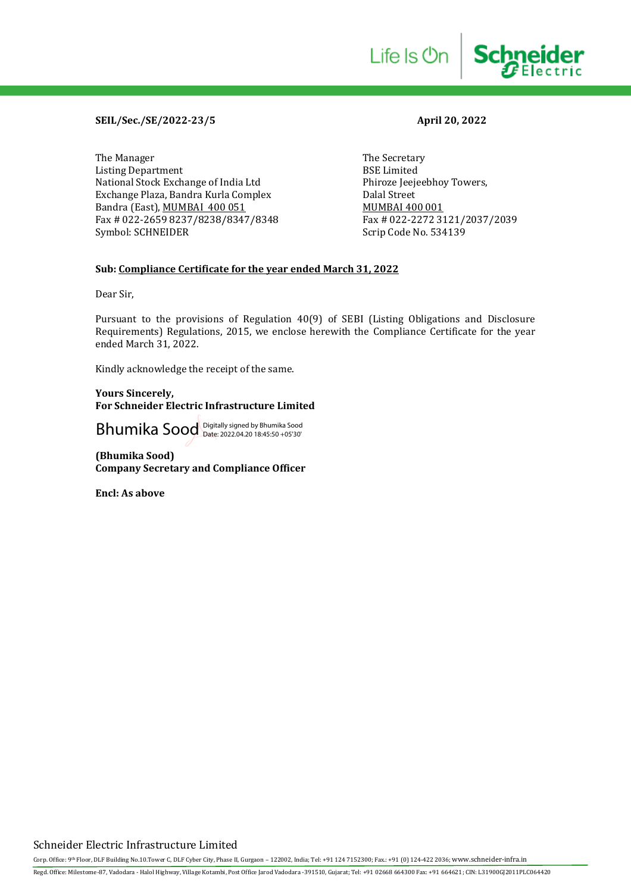### **SEIL/Sec./SE/2022-23/5 April 20, 2022**

The Manager The Secretary<br>
Listing Department<br>
SSE Limited Listing Department<br>
National Stock Exchange of India Ltd
Bhiroze Jeejeebhoy Towers, National Stock Exchange of India Ltd Exchange Plaza, Bandra Kurla Complex Dalal Street Bandra (East), <u>MUMBAI 400 051</u><br>Fax # 022-2659 8237/8238/8347/8348 Fax # 022-2272 3121/2037/2039 Fax # 022-2659 8237/8238/8347/8348 Symbol: SCHNEIDER Symbol: SCHNEIDER Scrip Code No. 534139

Life Is On

**Schneider** 

#### **Sub: Compliance Certificate for the year ended March 31, 2022**

Dear Sir,

Pursuant to the provisions of Regulation 40(9) of SEBI (Listing Obligations and Disclosure Requirements) Regulations, 2015, we enclose herewith the Compliance Certificate for the year ended March 31, 2022.

Kindly acknowledge the receipt of the same.

#### **Yours Sincerely, For Schneider Electric Infrastructure Limited**

Bhumika Sood Digitally signed by Bhumika Sood Date: 2022.04.20 18:45:50 +05'30'

**(Bhumika Sood) Company Secretary and Compliance Officer**

**Encl: As above**

## Schneider Electric Infrastructure Limited

Corp. Office: 9th Floor, DLF Building No.10.Tower C, DLF Cyber City, Phase II, Gurgaon - 122002, India; Tel: +91 124 7152300; Fax.: +91 (0) 124-422 2036; www.schneider-infra.in